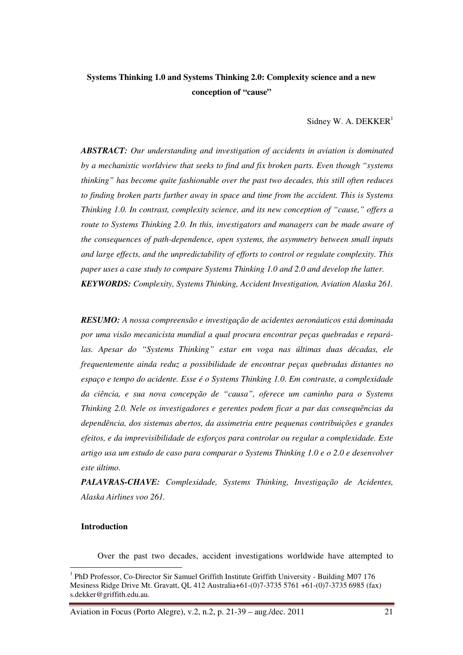# **Systems Thinking 1.0 and Systems Thinking 2.0: Complexity science and a new conception of "cause"**

Sidney W. A. DEKKER $<sup>1</sup>$ </sup>

*ABSTRACT: Our understanding and investigation of accidents in aviation is dominated by a mechanistic worldview that seeks to find and fix broken parts. Even though "systems thinking" has become quite fashionable over the past two decades, this still often reduces to finding broken parts further away in space and time from the accident. This is Systems Thinking 1.0. In contrast, complexity science, and its new conception of "cause," offers a route to Systems Thinking 2.0. In this, investigators and managers can be made aware of the consequences of path-dependence, open systems, the asymmetry between small inputs and large effects, and the unpredictability of efforts to control or regulate complexity. This paper uses a case study to compare Systems Thinking 1.0 and 2.0 and develop the latter. KEYWORDS: Complexity, Systems Thinking, Accident Investigation, Aviation Alaska 261.* 

*RESUMO: A nossa compreensão e investigação de acidentes aeronáuticos está dominada por uma visão mecanicista mundial a qual procura encontrar peças quebradas e reparálas. Apesar do "Systems Thinking" estar em voga nas últimas duas décadas, ele frequentemente ainda reduz a possibilidade de encontrar peças quebradas distantes no espaço e tempo do acidente. Esse é o Systems Thinking 1.0. Em contraste, a complexidade da ciência, e sua nova concepção de "causa", oferece um caminho para o Systems Thinking 2.0. Nele os investigadores e gerentes podem ficar a par das consequências da dependência, dos sistemas abertos, da assimetria entre pequenas contribuições e grandes efeitos, e da imprevisibilidade de esforços para controlar ou regular a complexidade. Este artigo usa um estudo de caso para comparar o Systems Thinking 1.0 e o 2.0 e desenvolver este último.* 

*PALAVRAS-CHAVE: Complexidade, Systems Thinking, Investigação de Acidentes, Alaska Airlines voo 261.* 

# **Introduction**

 $\overline{a}$ 

Over the past two decades, accident investigations worldwide have attempted to

Aviation in Focus (Porto Alegre), v.2, n.2, p. 21-39 – aug./dec. 2011 21

<sup>&</sup>lt;sup>1</sup> PhD Professor, Co-Director Sir Samuel Griffith Institute Griffith University - Building M07 176 Mesiness Ridge Drive Mt. Gravatt, QL 412 Australia+61-(0)7-3735 5761 +61-(0)7-3735 6985 (fax) s.dekker@griffith.edu.au.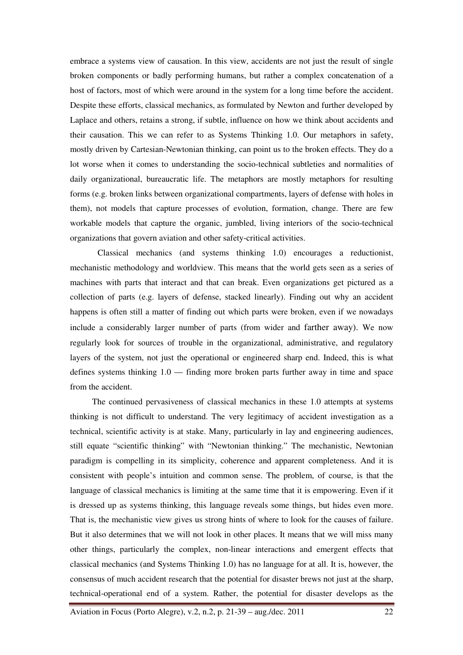embrace a systems view of causation. In this view, accidents are not just the result of single broken components or badly performing humans, but rather a complex concatenation of a host of factors, most of which were around in the system for a long time before the accident. Despite these efforts, classical mechanics, as formulated by Newton and further developed by Laplace and others, retains a strong, if subtle, influence on how we think about accidents and their causation. This we can refer to as Systems Thinking 1.0. Our metaphors in safety, mostly driven by Cartesian-Newtonian thinking, can point us to the broken effects. They do a lot worse when it comes to understanding the socio-technical subtleties and normalities of daily organizational, bureaucratic life. The metaphors are mostly metaphors for resulting forms (e.g. broken links between organizational compartments, layers of defense with holes in them), not models that capture processes of evolution, formation, change. There are few workable models that capture the organic, jumbled, living interiors of the socio-technical organizations that govern aviation and other safety-critical activities.

Classical mechanics (and systems thinking 1.0) encourages a reductionist, mechanistic methodology and worldview. This means that the world gets seen as a series of machines with parts that interact and that can break. Even organizations get pictured as a collection of parts (e.g. layers of defense, stacked linearly). Finding out why an accident happens is often still a matter of finding out which parts were broken, even if we nowadays include a considerably larger number of parts (from wider and farther away). We now regularly look for sources of trouble in the organizational, administrative, and regulatory layers of the system, not just the operational or engineered sharp end. Indeed, this is what defines systems thinking 1.0 — finding more broken parts further away in time and space from the accident.

The continued pervasiveness of classical mechanics in these 1.0 attempts at systems thinking is not difficult to understand. The very legitimacy of accident investigation as a technical, scientific activity is at stake. Many, particularly in lay and engineering audiences, still equate "scientific thinking" with "Newtonian thinking." The mechanistic, Newtonian paradigm is compelling in its simplicity, coherence and apparent completeness. And it is consistent with people's intuition and common sense. The problem, of course, is that the language of classical mechanics is limiting at the same time that it is empowering. Even if it is dressed up as systems thinking, this language reveals some things, but hides even more. That is, the mechanistic view gives us strong hints of where to look for the causes of failure. But it also determines that we will not look in other places. It means that we will miss many other things, particularly the complex, non-linear interactions and emergent effects that classical mechanics (and Systems Thinking 1.0) has no language for at all. It is, however, the consensus of much accident research that the potential for disaster brews not just at the sharp, technical-operational end of a system. Rather, the potential for disaster develops as the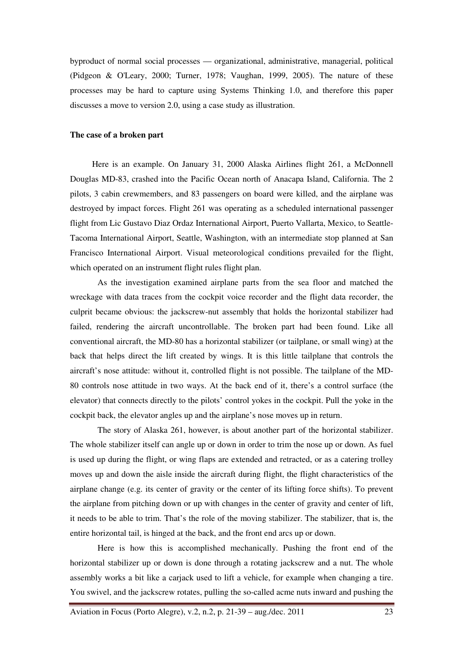byproduct of normal social processes — organizational, administrative, managerial, political (Pidgeon & O'Leary, 2000; Turner, 1978; Vaughan, 1999, 2005). The nature of these processes may be hard to capture using Systems Thinking 1.0, and therefore this paper discusses a move to version 2.0, using a case study as illustration.

# **The case of a broken part**

Here is an example. On January 31, 2000 Alaska Airlines flight 261, a McDonnell Douglas MD-83, crashed into the Pacific Ocean north of Anacapa Island, California. The 2 pilots, 3 cabin crewmembers, and 83 passengers on board were killed, and the airplane was destroyed by impact forces. Flight 261 was operating as a scheduled international passenger flight from Lic Gustavo Diaz Ordaz International Airport, Puerto Vallarta, Mexico, to Seattle-Tacoma International Airport, Seattle, Washington, with an intermediate stop planned at San Francisco International Airport. Visual meteorological conditions prevailed for the flight, which operated on an instrument flight rules flight plan.

As the investigation examined airplane parts from the sea floor and matched the wreckage with data traces from the cockpit voice recorder and the flight data recorder, the culprit became obvious: the jackscrew-nut assembly that holds the horizontal stabilizer had failed, rendering the aircraft uncontrollable. The broken part had been found. Like all conventional aircraft, the MD-80 has a horizontal stabilizer (or tailplane, or small wing) at the back that helps direct the lift created by wings. It is this little tailplane that controls the aircraft's nose attitude: without it, controlled flight is not possible. The tailplane of the MD-80 controls nose attitude in two ways. At the back end of it, there's a control surface (the elevator) that connects directly to the pilots' control yokes in the cockpit. Pull the yoke in the cockpit back, the elevator angles up and the airplane's nose moves up in return.

The story of Alaska 261, however, is about another part of the horizontal stabilizer. The whole stabilizer itself can angle up or down in order to trim the nose up or down. As fuel is used up during the flight, or wing flaps are extended and retracted, or as a catering trolley moves up and down the aisle inside the aircraft during flight, the flight characteristics of the airplane change (e.g. its center of gravity or the center of its lifting force shifts). To prevent the airplane from pitching down or up with changes in the center of gravity and center of lift, it needs to be able to trim. That's the role of the moving stabilizer. The stabilizer, that is, the entire horizontal tail, is hinged at the back, and the front end arcs up or down.

Here is how this is accomplished mechanically. Pushing the front end of the horizontal stabilizer up or down is done through a rotating jackscrew and a nut. The whole assembly works a bit like a carjack used to lift a vehicle, for example when changing a tire. You swivel, and the jackscrew rotates, pulling the so-called acme nuts inward and pushing the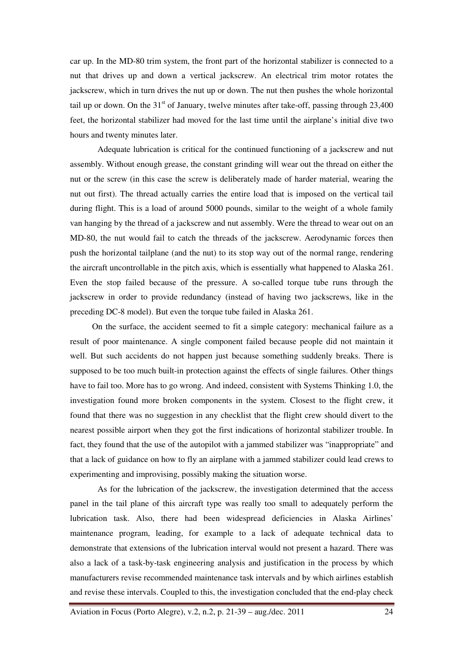car up. In the MD-80 trim system, the front part of the horizontal stabilizer is connected to a nut that drives up and down a vertical jackscrew. An electrical trim motor rotates the jackscrew, which in turn drives the nut up or down. The nut then pushes the whole horizontal tail up or down. On the  $31<sup>st</sup>$  of January, twelve minutes after take-off, passing through 23,400 feet, the horizontal stabilizer had moved for the last time until the airplane's initial dive two hours and twenty minutes later.

Adequate lubrication is critical for the continued functioning of a jackscrew and nut assembly. Without enough grease, the constant grinding will wear out the thread on either the nut or the screw (in this case the screw is deliberately made of harder material, wearing the nut out first). The thread actually carries the entire load that is imposed on the vertical tail during flight. This is a load of around 5000 pounds, similar to the weight of a whole family van hanging by the thread of a jackscrew and nut assembly. Were the thread to wear out on an MD-80, the nut would fail to catch the threads of the jackscrew. Aerodynamic forces then push the horizontal tailplane (and the nut) to its stop way out of the normal range, rendering the aircraft uncontrollable in the pitch axis, which is essentially what happened to Alaska 261. Even the stop failed because of the pressure. A so-called torque tube runs through the jackscrew in order to provide redundancy (instead of having two jackscrews, like in the preceding DC-8 model). But even the torque tube failed in Alaska 261.

On the surface, the accident seemed to fit a simple category: mechanical failure as a result of poor maintenance. A single component failed because people did not maintain it well. But such accidents do not happen just because something suddenly breaks. There is supposed to be too much built-in protection against the effects of single failures. Other things have to fail too. More has to go wrong. And indeed, consistent with Systems Thinking 1.0, the investigation found more broken components in the system. Closest to the flight crew, it found that there was no suggestion in any checklist that the flight crew should divert to the nearest possible airport when they got the first indications of horizontal stabilizer trouble. In fact, they found that the use of the autopilot with a jammed stabilizer was "inappropriate" and that a lack of guidance on how to fly an airplane with a jammed stabilizer could lead crews to experimenting and improvising, possibly making the situation worse.

As for the lubrication of the jackscrew, the investigation determined that the access panel in the tail plane of this aircraft type was really too small to adequately perform the lubrication task. Also, there had been widespread deficiencies in Alaska Airlines' maintenance program, leading, for example to a lack of adequate technical data to demonstrate that extensions of the lubrication interval would not present a hazard. There was also a lack of a task-by-task engineering analysis and justification in the process by which manufacturers revise recommended maintenance task intervals and by which airlines establish and revise these intervals. Coupled to this, the investigation concluded that the end-play check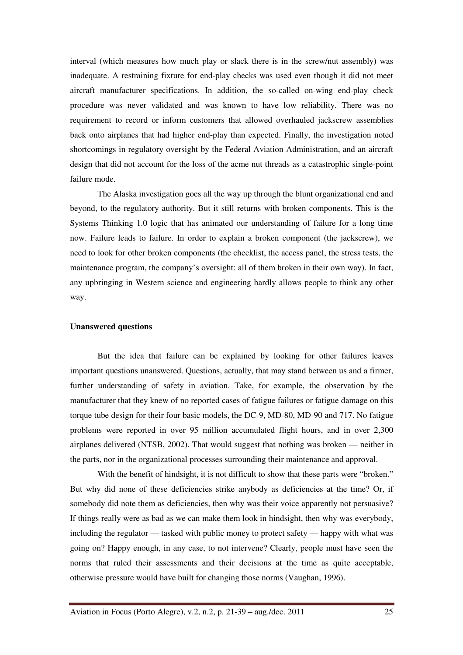interval (which measures how much play or slack there is in the screw/nut assembly) was inadequate. A restraining fixture for end-play checks was used even though it did not meet aircraft manufacturer specifications. In addition, the so-called on-wing end-play check procedure was never validated and was known to have low reliability. There was no requirement to record or inform customers that allowed overhauled jackscrew assemblies back onto airplanes that had higher end-play than expected. Finally, the investigation noted shortcomings in regulatory oversight by the Federal Aviation Administration, and an aircraft design that did not account for the loss of the acme nut threads as a catastrophic single-point failure mode.

The Alaska investigation goes all the way up through the blunt organizational end and beyond, to the regulatory authority. But it still returns with broken components. This is the Systems Thinking 1.0 logic that has animated our understanding of failure for a long time now. Failure leads to failure. In order to explain a broken component (the jackscrew), we need to look for other broken components (the checklist, the access panel, the stress tests, the maintenance program, the company's oversight: all of them broken in their own way). In fact, any upbringing in Western science and engineering hardly allows people to think any other way.

## **Unanswered questions**

But the idea that failure can be explained by looking for other failures leaves important questions unanswered. Questions, actually, that may stand between us and a firmer, further understanding of safety in aviation. Take, for example, the observation by the manufacturer that they knew of no reported cases of fatigue failures or fatigue damage on this torque tube design for their four basic models, the DC-9, MD-80, MD-90 and 717. No fatigue problems were reported in over 95 million accumulated flight hours, and in over 2,300 airplanes delivered (NTSB, 2002). That would suggest that nothing was broken — neither in the parts, nor in the organizational processes surrounding their maintenance and approval.

With the benefit of hindsight, it is not difficult to show that these parts were "broken." But why did none of these deficiencies strike anybody as deficiencies at the time? Or, if somebody did note them as deficiencies, then why was their voice apparently not persuasive? If things really were as bad as we can make them look in hindsight, then why was everybody, including the regulator — tasked with public money to protect safety — happy with what was going on? Happy enough, in any case, to not intervene? Clearly, people must have seen the norms that ruled their assessments and their decisions at the time as quite acceptable, otherwise pressure would have built for changing those norms (Vaughan, 1996).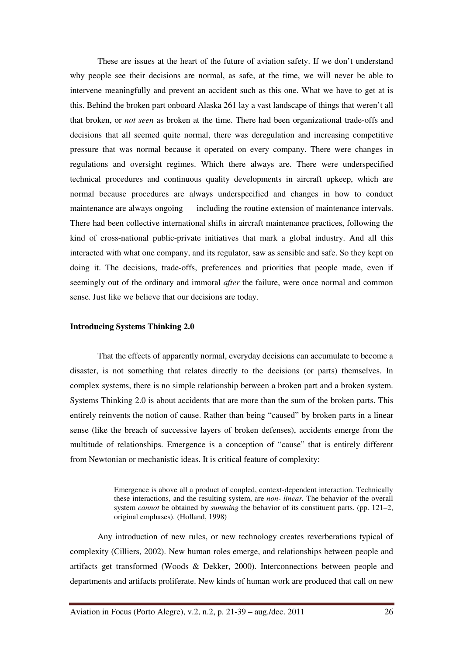These are issues at the heart of the future of aviation safety. If we don't understand why people see their decisions are normal, as safe, at the time, we will never be able to intervene meaningfully and prevent an accident such as this one. What we have to get at is this. Behind the broken part onboard Alaska 261 lay a vast landscape of things that weren't all that broken, or *not seen* as broken at the time. There had been organizational trade-offs and decisions that all seemed quite normal, there was deregulation and increasing competitive pressure that was normal because it operated on every company. There were changes in regulations and oversight regimes. Which there always are. There were underspecified technical procedures and continuous quality developments in aircraft upkeep, which are normal because procedures are always underspecified and changes in how to conduct maintenance are always ongoing — including the routine extension of maintenance intervals. There had been collective international shifts in aircraft maintenance practices, following the kind of cross-national public-private initiatives that mark a global industry. And all this interacted with what one company, and its regulator, saw as sensible and safe. So they kept on doing it. The decisions, trade-offs, preferences and priorities that people made, even if seemingly out of the ordinary and immoral *after* the failure, were once normal and common sense. Just like we believe that our decisions are today.

## **Introducing Systems Thinking 2.0**

That the effects of apparently normal, everyday decisions can accumulate to become a disaster, is not something that relates directly to the decisions (or parts) themselves. In complex systems, there is no simple relationship between a broken part and a broken system. Systems Thinking 2.0 is about accidents that are more than the sum of the broken parts. This entirely reinvents the notion of cause. Rather than being "caused" by broken parts in a linear sense (like the breach of successive layers of broken defenses), accidents emerge from the multitude of relationships. Emergence is a conception of "cause" that is entirely different from Newtonian or mechanistic ideas. It is critical feature of complexity:

> Emergence is above all a product of coupled, context-dependent interaction. Technically these interactions, and the resulting system, are *non- linear.* The behavior of the overall system *cannot* be obtained by *summing* the behavior of its constituent parts. (pp. 121–2, original emphases). (Holland, 1998)

Any introduction of new rules, or new technology creates reverberations typical of complexity (Cilliers, 2002). New human roles emerge, and relationships between people and artifacts get transformed (Woods & Dekker, 2000). Interconnections between people and departments and artifacts proliferate. New kinds of human work are produced that call on new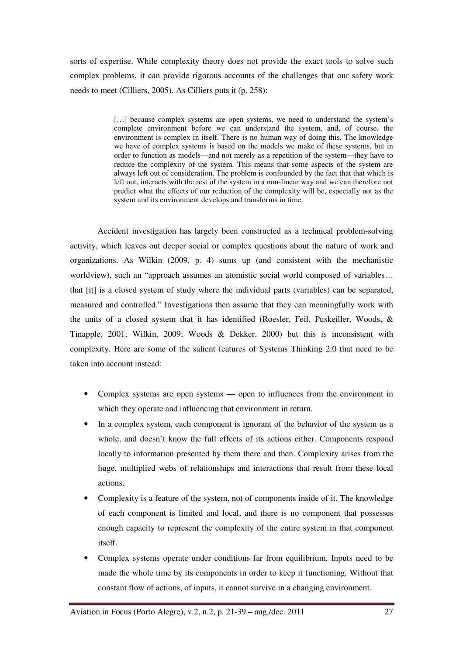sorts of expertise. While complexity theory does not provide the exact tools to solve such complex problems, it can provide rigorous accounts of the challenges that our safety work needs to meet (Cilliers, 2005). As Cilliers puts it (p. 258):

> [...] because complex systems are open systems, we need to understand the system's complete environment before we can understand the system, and, of course, the environment is complex in itself. There is no human way of doing this. The knowledge we have of complex systems is based on the models we make of these systems, but in order to function as models—and not merely as a repetition of the system—they have to reduce the complexity of the system. This means that some aspects of the system are always left out of consideration. The problem is confounded by the fact that that which is left out, interacts with the rest of the system in a non-linear way and we can therefore not predict what the effects of our reduction of the complexity will be, especially not as the system and its environment develops and transforms in time.

Accident investigation has largely been constructed as a technical problem-solving activity, which leaves out deeper social or complex questions about the nature of work and organizations. As Wilkin (2009, p. 4) sums up (and consistent with the mechanistic worldview), such an "approach assumes an atomistic social world composed of variables… that [it] is a closed system of study where the individual parts (variables) can be separated, measured and controlled." Investigations then assume that they can meaningfully work with the units of a closed system that it has identified (Roesler, Feil, Puskeiller, Woods, & Tinapple, 2001; Wilkin, 2009; Woods & Dekker, 2000) but this is inconsistent with complexity. Here are some of the salient features of Systems Thinking 2.0 that need to be taken into account instead:

- Complex systems are open systems open to influences from the environment in which they operate and influencing that environment in return.
- In a complex system, each component is ignorant of the behavior of the system as a whole, and doesn't know the full effects of its actions either. Components respond locally to information presented by them there and then. Complexity arises from the huge, multiplied webs of relationships and interactions that result from these local actions.
- Complexity is a feature of the system, not of components inside of it. The knowledge of each component is limited and local, and there is no component that possesses enough capacity to represent the complexity of the entire system in that component itself.
- Complex systems operate under conditions far from equilibrium. Inputs need to be made the whole time by its components in order to keep it functioning. Without that constant flow of actions, of inputs, it cannot survive in a changing environment.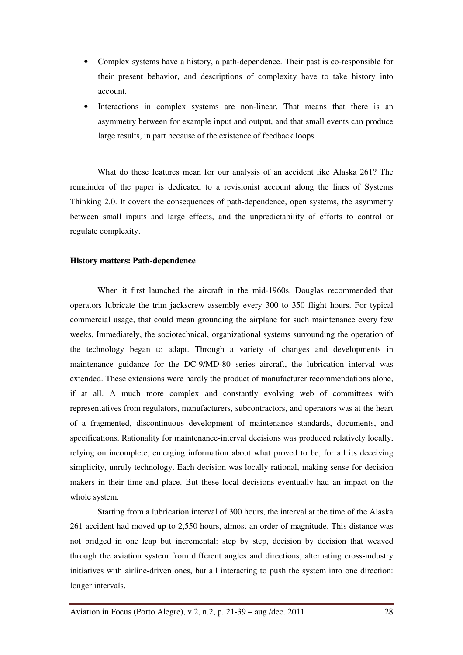- Complex systems have a history, a path-dependence. Their past is co-responsible for their present behavior, and descriptions of complexity have to take history into account.
- Interactions in complex systems are non-linear. That means that there is an asymmetry between for example input and output, and that small events can produce large results, in part because of the existence of feedback loops.

What do these features mean for our analysis of an accident like Alaska 261? The remainder of the paper is dedicated to a revisionist account along the lines of Systems Thinking 2.0. It covers the consequences of path-dependence, open systems, the asymmetry between small inputs and large effects, and the unpredictability of efforts to control or regulate complexity.

# **History matters: Path-dependence**

When it first launched the aircraft in the mid-1960s, Douglas recommended that operators lubricate the trim jackscrew assembly every 300 to 350 flight hours. For typical commercial usage, that could mean grounding the airplane for such maintenance every few weeks. Immediately, the sociotechnical, organizational systems surrounding the operation of the technology began to adapt. Through a variety of changes and developments in maintenance guidance for the DC-9/MD-80 series aircraft, the lubrication interval was extended. These extensions were hardly the product of manufacturer recommendations alone, if at all. A much more complex and constantly evolving web of committees with representatives from regulators, manufacturers, subcontractors, and operators was at the heart of a fragmented, discontinuous development of maintenance standards, documents, and specifications. Rationality for maintenance-interval decisions was produced relatively locally, relying on incomplete, emerging information about what proved to be, for all its deceiving simplicity, unruly technology. Each decision was locally rational, making sense for decision makers in their time and place. But these local decisions eventually had an impact on the whole system.

Starting from a lubrication interval of 300 hours, the interval at the time of the Alaska 261 accident had moved up to 2,550 hours, almost an order of magnitude. This distance was not bridged in one leap but incremental: step by step, decision by decision that weaved through the aviation system from different angles and directions, alternating cross-industry initiatives with airline-driven ones, but all interacting to push the system into one direction: longer intervals.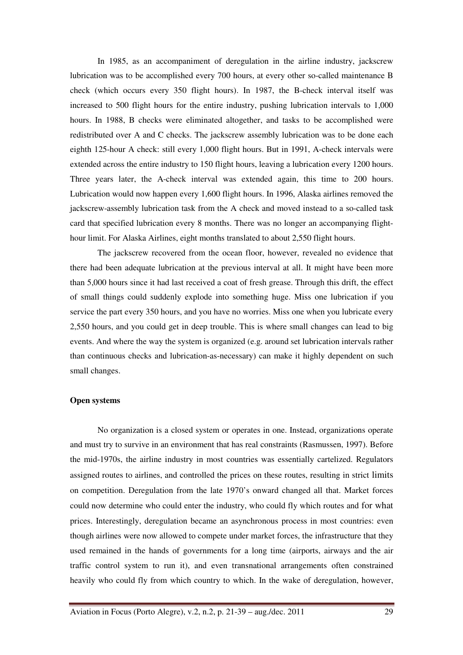In 1985, as an accompaniment of deregulation in the airline industry, jackscrew lubrication was to be accomplished every 700 hours, at every other so-called maintenance B check (which occurs every 350 flight hours). In 1987, the B-check interval itself was increased to 500 flight hours for the entire industry, pushing lubrication intervals to 1,000 hours. In 1988, B checks were eliminated altogether, and tasks to be accomplished were redistributed over A and C checks. The jackscrew assembly lubrication was to be done each eighth 125-hour A check: still every 1,000 flight hours. But in 1991, A-check intervals were extended across the entire industry to 150 flight hours, leaving a lubrication every 1200 hours. Three years later, the A-check interval was extended again, this time to 200 hours. Lubrication would now happen every 1,600 flight hours. In 1996, Alaska airlines removed the jackscrew-assembly lubrication task from the A check and moved instead to a so-called task card that specified lubrication every 8 months. There was no longer an accompanying flighthour limit. For Alaska Airlines, eight months translated to about 2,550 flight hours.

The jackscrew recovered from the ocean floor, however, revealed no evidence that there had been adequate lubrication at the previous interval at all. It might have been more than 5,000 hours since it had last received a coat of fresh grease. Through this drift, the effect of small things could suddenly explode into something huge. Miss one lubrication if you service the part every 350 hours, and you have no worries. Miss one when you lubricate every 2,550 hours, and you could get in deep trouble. This is where small changes can lead to big events. And where the way the system is organized (e.g. around set lubrication intervals rather than continuous checks and lubrication-as-necessary) can make it highly dependent on such small changes.

### **Open systems**

No organization is a closed system or operates in one. Instead, organizations operate and must try to survive in an environment that has real constraints (Rasmussen, 1997). Before the mid-1970s, the airline industry in most countries was essentially cartelized. Regulators assigned routes to airlines, and controlled the prices on these routes, resulting in strict limits on competition. Deregulation from the late 1970's onward changed all that. Market forces could now determine who could enter the industry, who could fly which routes and for what prices. Interestingly, deregulation became an asynchronous process in most countries: even though airlines were now allowed to compete under market forces, the infrastructure that they used remained in the hands of governments for a long time (airports, airways and the air traffic control system to run it), and even transnational arrangements often constrained heavily who could fly from which country to which. In the wake of deregulation, however,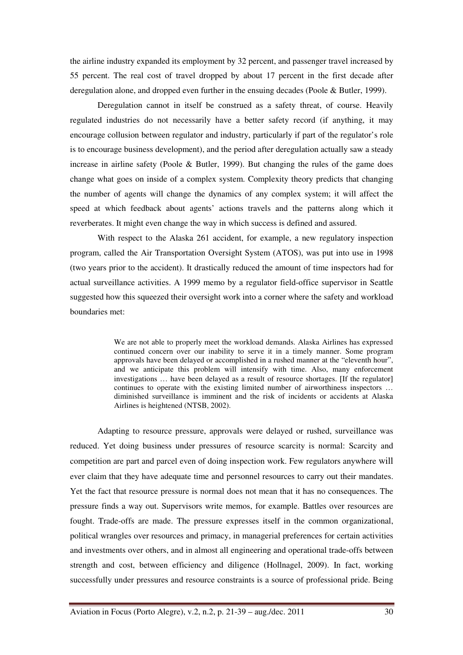the airline industry expanded its employment by 32 percent, and passenger travel increased by 55 percent. The real cost of travel dropped by about 17 percent in the first decade after deregulation alone, and dropped even further in the ensuing decades (Poole & Butler, 1999).

Deregulation cannot in itself be construed as a safety threat, of course. Heavily regulated industries do not necessarily have a better safety record (if anything, it may encourage collusion between regulator and industry, particularly if part of the regulator's role is to encourage business development), and the period after deregulation actually saw a steady increase in airline safety (Poole & Butler, 1999). But changing the rules of the game does change what goes on inside of a complex system. Complexity theory predicts that changing the number of agents will change the dynamics of any complex system; it will affect the speed at which feedback about agents' actions travels and the patterns along which it reverberates. It might even change the way in which success is defined and assured.

With respect to the Alaska 261 accident, for example, a new regulatory inspection program, called the Air Transportation Oversight System (ATOS), was put into use in 1998 (two years prior to the accident). It drastically reduced the amount of time inspectors had for actual surveillance activities. A 1999 memo by a regulator field-office supervisor in Seattle suggested how this squeezed their oversight work into a corner where the safety and workload boundaries met:

> We are not able to properly meet the workload demands. Alaska Airlines has expressed continued concern over our inability to serve it in a timely manner. Some program approvals have been delayed or accomplished in a rushed manner at the "eleventh hour", and we anticipate this problem will intensify with time. Also, many enforcement investigations … have been delayed as a result of resource shortages. [If the regulator] continues to operate with the existing limited number of airworthiness inspectors … diminished surveillance is imminent and the risk of incidents or accidents at Alaska Airlines is heightened (NTSB, 2002).

Adapting to resource pressure, approvals were delayed or rushed, surveillance was reduced. Yet doing business under pressures of resource scarcity is normal: Scarcity and competition are part and parcel even of doing inspection work. Few regulators anywhere will ever claim that they have adequate time and personnel resources to carry out their mandates. Yet the fact that resource pressure is normal does not mean that it has no consequences. The pressure finds a way out. Supervisors write memos, for example. Battles over resources are fought. Trade-offs are made. The pressure expresses itself in the common organizational, political wrangles over resources and primacy, in managerial preferences for certain activities and investments over others, and in almost all engineering and operational trade-offs between strength and cost, between efficiency and diligence (Hollnagel, 2009). In fact, working successfully under pressures and resource constraints is a source of professional pride. Being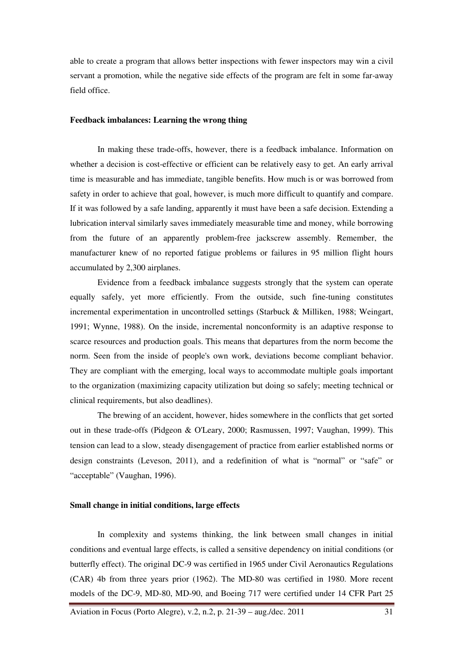able to create a program that allows better inspections with fewer inspectors may win a civil servant a promotion, while the negative side effects of the program are felt in some far-away field office.

# **Feedback imbalances: Learning the wrong thing**

In making these trade-offs, however, there is a feedback imbalance. Information on whether a decision is cost-effective or efficient can be relatively easy to get. An early arrival time is measurable and has immediate, tangible benefits. How much is or was borrowed from safety in order to achieve that goal, however, is much more difficult to quantify and compare. If it was followed by a safe landing, apparently it must have been a safe decision. Extending a lubrication interval similarly saves immediately measurable time and money, while borrowing from the future of an apparently problem-free jackscrew assembly. Remember, the manufacturer knew of no reported fatigue problems or failures in 95 million flight hours accumulated by 2,300 airplanes.

Evidence from a feedback imbalance suggests strongly that the system can operate equally safely, yet more efficiently. From the outside, such fine-tuning constitutes incremental experimentation in uncontrolled settings (Starbuck & Milliken, 1988; Weingart, 1991; Wynne, 1988). On the inside, incremental nonconformity is an adaptive response to scarce resources and production goals. This means that departures from the norm become the norm. Seen from the inside of people's own work, deviations become compliant behavior. They are compliant with the emerging, local ways to accommodate multiple goals important to the organization (maximizing capacity utilization but doing so safely; meeting technical or clinical requirements, but also deadlines).

The brewing of an accident, however, hides somewhere in the conflicts that get sorted out in these trade-offs (Pidgeon & O'Leary, 2000; Rasmussen, 1997; Vaughan, 1999). This tension can lead to a slow, steady disengagement of practice from earlier established norms or design constraints (Leveson, 2011), and a redefinition of what is "normal" or "safe" or "acceptable" (Vaughan, 1996).

#### **Small change in initial conditions, large effects**

In complexity and systems thinking, the link between small changes in initial conditions and eventual large effects, is called a sensitive dependency on initial conditions (or butterfly effect). The original DC-9 was certified in 1965 under Civil Aeronautics Regulations (CAR) 4b from three years prior (1962). The MD-80 was certified in 1980. More recent models of the DC-9, MD-80, MD-90, and Boeing 717 were certified under 14 CFR Part 25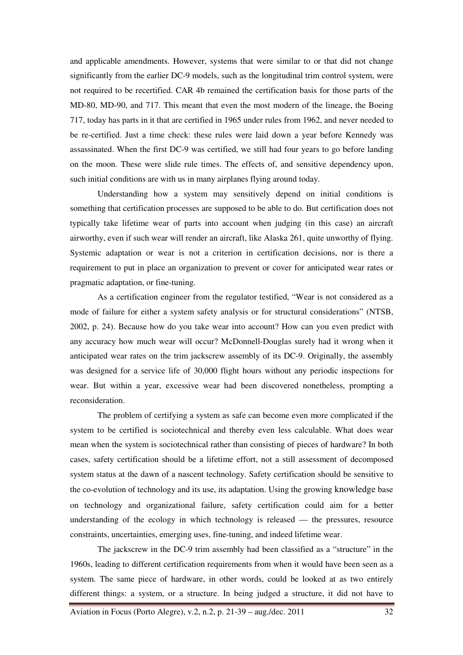and applicable amendments. However, systems that were similar to or that did not change significantly from the earlier DC-9 models, such as the longitudinal trim control system, were not required to be recertified. CAR 4b remained the certification basis for those parts of the MD-80, MD-90, and 717. This meant that even the most modern of the lineage, the Boeing 717, today has parts in it that are certified in 1965 under rules from 1962, and never needed to be re-certified. Just a time check: these rules were laid down a year before Kennedy was assassinated. When the first DC-9 was certified, we still had four years to go before landing on the moon. These were slide rule times. The effects of, and sensitive dependency upon, such initial conditions are with us in many airplanes flying around today.

Understanding how a system may sensitively depend on initial conditions is something that certification processes are supposed to be able to do. But certification does not typically take lifetime wear of parts into account when judging (in this case) an aircraft airworthy, even if such wear will render an aircraft, like Alaska 261, quite unworthy of flying. Systemic adaptation or wear is not a criterion in certification decisions, nor is there a requirement to put in place an organization to prevent or cover for anticipated wear rates or pragmatic adaptation, or fine-tuning.

As a certification engineer from the regulator testified, "Wear is not considered as a mode of failure for either a system safety analysis or for structural considerations" (NTSB, 2002, p. 24). Because how do you take wear into account? How can you even predict with any accuracy how much wear will occur? McDonnell-Douglas surely had it wrong when it anticipated wear rates on the trim jackscrew assembly of its DC-9. Originally, the assembly was designed for a service life of 30,000 flight hours without any periodic inspections for wear. But within a year, excessive wear had been discovered nonetheless, prompting a reconsideration.

The problem of certifying a system as safe can become even more complicated if the system to be certified is sociotechnical and thereby even less calculable. What does wear mean when the system is sociotechnical rather than consisting of pieces of hardware? In both cases, safety certification should be a lifetime effort, not a still assessment of decomposed system status at the dawn of a nascent technology. Safety certification should be sensitive to the co-evolution of technology and its use, its adaptation. Using the growing knowledge base on technology and organizational failure, safety certification could aim for a better understanding of the ecology in which technology is released — the pressures, resource constraints, uncertainties, emerging uses, fine-tuning, and indeed lifetime wear.

The jackscrew in the DC-9 trim assembly had been classified as a "structure" in the 1960s, leading to different certification requirements from when it would have been seen as a system. The same piece of hardware, in other words, could be looked at as two entirely different things: a system, or a structure. In being judged a structure, it did not have to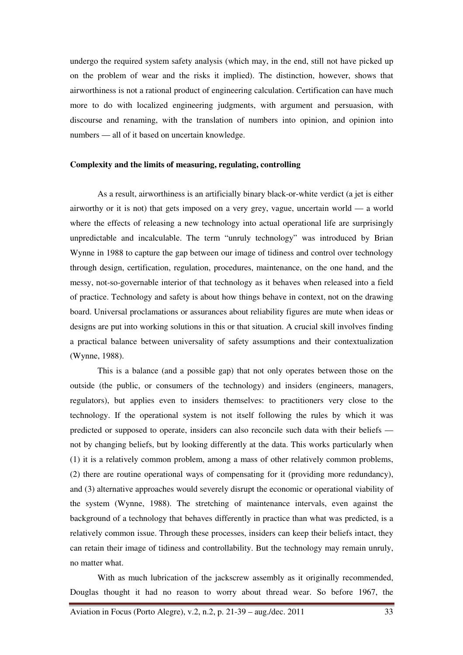undergo the required system safety analysis (which may, in the end, still not have picked up on the problem of wear and the risks it implied). The distinction, however, shows that airworthiness is not a rational product of engineering calculation. Certification can have much more to do with localized engineering judgments, with argument and persuasion, with discourse and renaming, with the translation of numbers into opinion, and opinion into numbers — all of it based on uncertain knowledge.

### **Complexity and the limits of measuring, regulating, controlling**

As a result, airworthiness is an artificially binary black-or-white verdict (a jet is either airworthy or it is not) that gets imposed on a very grey, vague, uncertain world — a world where the effects of releasing a new technology into actual operational life are surprisingly unpredictable and incalculable. The term "unruly technology" was introduced by Brian Wynne in 1988 to capture the gap between our image of tidiness and control over technology through design, certification, regulation, procedures, maintenance, on the one hand, and the messy, not-so-governable interior of that technology as it behaves when released into a field of practice. Technology and safety is about how things behave in context, not on the drawing board. Universal proclamations or assurances about reliability figures are mute when ideas or designs are put into working solutions in this or that situation. A crucial skill involves finding a practical balance between universality of safety assumptions and their contextualization (Wynne, 1988).

This is a balance (and a possible gap) that not only operates between those on the outside (the public, or consumers of the technology) and insiders (engineers, managers, regulators), but applies even to insiders themselves: to practitioners very close to the technology. If the operational system is not itself following the rules by which it was predicted or supposed to operate, insiders can also reconcile such data with their beliefs not by changing beliefs, but by looking differently at the data. This works particularly when (1) it is a relatively common problem, among a mass of other relatively common problems, (2) there are routine operational ways of compensating for it (providing more redundancy), and (3) alternative approaches would severely disrupt the economic or operational viability of the system (Wynne, 1988). The stretching of maintenance intervals, even against the background of a technology that behaves differently in practice than what was predicted, is a relatively common issue. Through these processes, insiders can keep their beliefs intact, they can retain their image of tidiness and controllability. But the technology may remain unruly, no matter what.

With as much lubrication of the jackscrew assembly as it originally recommended, Douglas thought it had no reason to worry about thread wear. So before 1967, the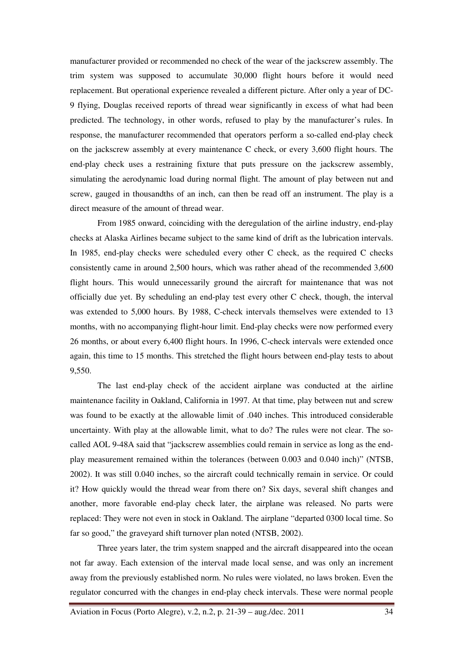manufacturer provided or recommended no check of the wear of the jackscrew assembly. The trim system was supposed to accumulate 30,000 flight hours before it would need replacement. But operational experience revealed a different picture. After only a year of DC-9 flying, Douglas received reports of thread wear significantly in excess of what had been predicted. The technology, in other words, refused to play by the manufacturer's rules. In response, the manufacturer recommended that operators perform a so-called end-play check on the jackscrew assembly at every maintenance C check, or every 3,600 flight hours. The end-play check uses a restraining fixture that puts pressure on the jackscrew assembly, simulating the aerodynamic load during normal flight. The amount of play between nut and screw, gauged in thousandths of an inch, can then be read off an instrument. The play is a direct measure of the amount of thread wear.

From 1985 onward, coinciding with the deregulation of the airline industry, end-play checks at Alaska Airlines became subject to the same kind of drift as the lubrication intervals. In 1985, end-play checks were scheduled every other C check, as the required C checks consistently came in around 2,500 hours, which was rather ahead of the recommended 3,600 flight hours. This would unnecessarily ground the aircraft for maintenance that was not officially due yet. By scheduling an end-play test every other C check, though, the interval was extended to 5,000 hours. By 1988, C-check intervals themselves were extended to 13 months, with no accompanying flight-hour limit. End-play checks were now performed every 26 months, or about every 6,400 flight hours. In 1996, C-check intervals were extended once again, this time to 15 months. This stretched the flight hours between end-play tests to about 9,550.

The last end-play check of the accident airplane was conducted at the airline maintenance facility in Oakland, California in 1997. At that time, play between nut and screw was found to be exactly at the allowable limit of .040 inches. This introduced considerable uncertainty. With play at the allowable limit, what to do? The rules were not clear. The socalled AOL 9-48A said that "jackscrew assemblies could remain in service as long as the endplay measurement remained within the tolerances (between 0.003 and 0.040 inch)" (NTSB, 2002). It was still 0.040 inches, so the aircraft could technically remain in service. Or could it? How quickly would the thread wear from there on? Six days, several shift changes and another, more favorable end-play check later, the airplane was released. No parts were replaced: They were not even in stock in Oakland. The airplane "departed 0300 local time. So far so good," the graveyard shift turnover plan noted (NTSB, 2002).

Three years later, the trim system snapped and the aircraft disappeared into the ocean not far away. Each extension of the interval made local sense, and was only an increment away from the previously established norm. No rules were violated, no laws broken. Even the regulator concurred with the changes in end-play check intervals. These were normal people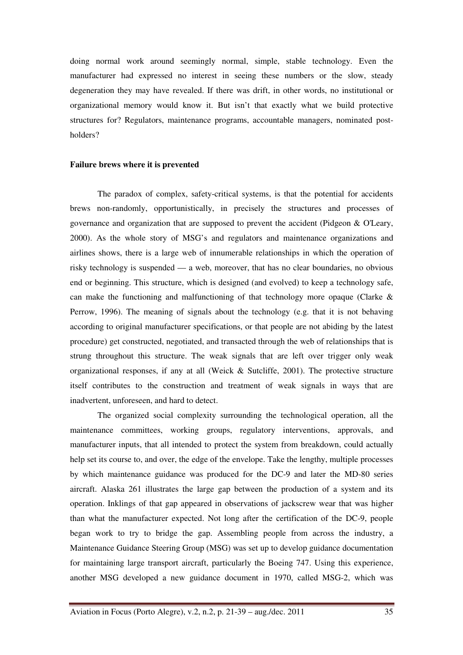doing normal work around seemingly normal, simple, stable technology. Even the manufacturer had expressed no interest in seeing these numbers or the slow, steady degeneration they may have revealed. If there was drift, in other words, no institutional or organizational memory would know it. But isn't that exactly what we build protective structures for? Regulators, maintenance programs, accountable managers, nominated postholders?

### **Failure brews where it is prevented**

The paradox of complex, safety-critical systems, is that the potential for accidents brews non-randomly, opportunistically, in precisely the structures and processes of governance and organization that are supposed to prevent the accident (Pidgeon & O'Leary, 2000). As the whole story of MSG's and regulators and maintenance organizations and airlines shows, there is a large web of innumerable relationships in which the operation of risky technology is suspended — a web, moreover, that has no clear boundaries, no obvious end or beginning. This structure, which is designed (and evolved) to keep a technology safe, can make the functioning and malfunctioning of that technology more opaque (Clarke  $\&$ Perrow, 1996). The meaning of signals about the technology (e.g. that it is not behaving according to original manufacturer specifications, or that people are not abiding by the latest procedure) get constructed, negotiated, and transacted through the web of relationships that is strung throughout this structure. The weak signals that are left over trigger only weak organizational responses, if any at all (Weick  $\&$  Sutcliffe, 2001). The protective structure itself contributes to the construction and treatment of weak signals in ways that are inadvertent, unforeseen, and hard to detect.

The organized social complexity surrounding the technological operation, all the maintenance committees, working groups, regulatory interventions, approvals, and manufacturer inputs, that all intended to protect the system from breakdown, could actually help set its course to, and over, the edge of the envelope. Take the lengthy, multiple processes by which maintenance guidance was produced for the DC-9 and later the MD-80 series aircraft. Alaska 261 illustrates the large gap between the production of a system and its operation. Inklings of that gap appeared in observations of jackscrew wear that was higher than what the manufacturer expected. Not long after the certification of the DC-9, people began work to try to bridge the gap. Assembling people from across the industry, a Maintenance Guidance Steering Group (MSG) was set up to develop guidance documentation for maintaining large transport aircraft, particularly the Boeing 747. Using this experience, another MSG developed a new guidance document in 1970, called MSG-2, which was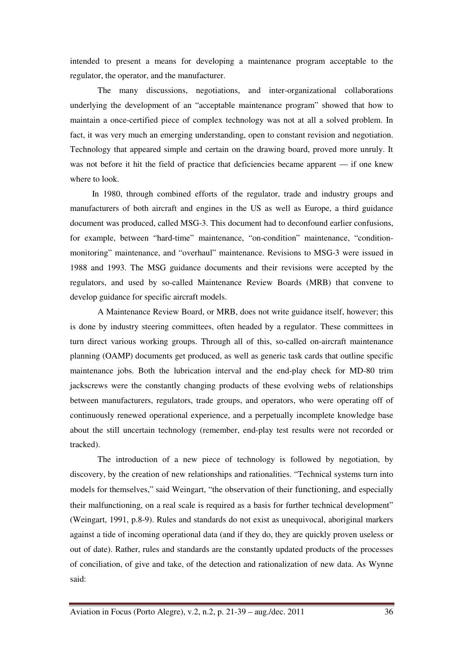intended to present a means for developing a maintenance program acceptable to the regulator, the operator, and the manufacturer.

The many discussions, negotiations, and inter-organizational collaborations underlying the development of an "acceptable maintenance program" showed that how to maintain a once-certified piece of complex technology was not at all a solved problem. In fact, it was very much an emerging understanding, open to constant revision and negotiation. Technology that appeared simple and certain on the drawing board, proved more unruly. It was not before it hit the field of practice that deficiencies became apparent — if one knew where to look.

In 1980, through combined efforts of the regulator, trade and industry groups and manufacturers of both aircraft and engines in the US as well as Europe, a third guidance document was produced, called MSG-3. This document had to deconfound earlier confusions, for example, between "hard-time" maintenance, "on-condition" maintenance, "conditionmonitoring" maintenance, and "overhaul" maintenance. Revisions to MSG-3 were issued in 1988 and 1993. The MSG guidance documents and their revisions were accepted by the regulators, and used by so-called Maintenance Review Boards (MRB) that convene to develop guidance for specific aircraft models.

A Maintenance Review Board, or MRB, does not write guidance itself, however; this is done by industry steering committees, often headed by a regulator. These committees in turn direct various working groups. Through all of this, so-called on-aircraft maintenance planning (OAMP) documents get produced, as well as generic task cards that outline specific maintenance jobs. Both the lubrication interval and the end-play check for MD-80 trim jackscrews were the constantly changing products of these evolving webs of relationships between manufacturers, regulators, trade groups, and operators, who were operating off of continuously renewed operational experience, and a perpetually incomplete knowledge base about the still uncertain technology (remember, end-play test results were not recorded or tracked).

The introduction of a new piece of technology is followed by negotiation, by discovery, by the creation of new relationships and rationalities. "Technical systems turn into models for themselves," said Weingart, "the observation of their functioning, and especially their malfunctioning, on a real scale is required as a basis for further technical development" (Weingart, 1991, p.8-9). Rules and standards do not exist as unequivocal, aboriginal markers against a tide of incoming operational data (and if they do, they are quickly proven useless or out of date). Rather, rules and standards are the constantly updated products of the processes of conciliation, of give and take, of the detection and rationalization of new data. As Wynne said: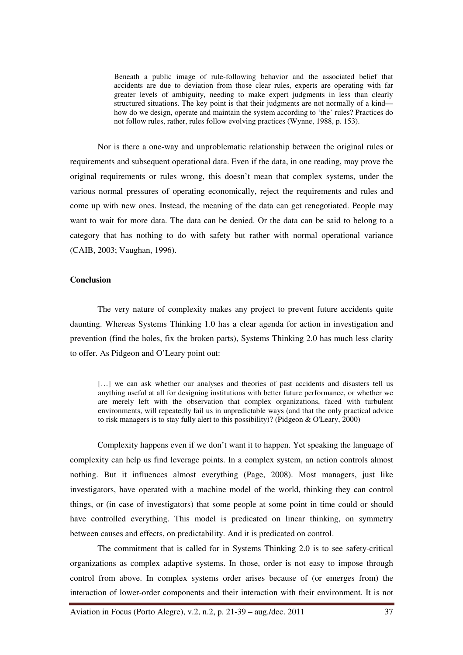Beneath a public image of rule-following behavior and the associated belief that accidents are due to deviation from those clear rules, experts are operating with far greater levels of ambiguity, needing to make expert judgments in less than clearly structured situations. The key point is that their judgments are not normally of a kind how do we design, operate and maintain the system according to 'the' rules? Practices do not follow rules, rather, rules follow evolving practices (Wynne, 1988, p. 153).

Nor is there a one-way and unproblematic relationship between the original rules or requirements and subsequent operational data. Even if the data, in one reading, may prove the original requirements or rules wrong, this doesn't mean that complex systems, under the various normal pressures of operating economically, reject the requirements and rules and come up with new ones. Instead, the meaning of the data can get renegotiated. People may want to wait for more data. The data can be denied. Or the data can be said to belong to a category that has nothing to do with safety but rather with normal operational variance (CAIB, 2003; Vaughan, 1996).

# **Conclusion**

The very nature of complexity makes any project to prevent future accidents quite daunting. Whereas Systems Thinking 1.0 has a clear agenda for action in investigation and prevention (find the holes, fix the broken parts), Systems Thinking 2.0 has much less clarity to offer. As Pidgeon and O'Leary point out:

[...] we can ask whether our analyses and theories of past accidents and disasters tell us anything useful at all for designing institutions with better future performance, or whether we are merely left with the observation that complex organizations, faced with turbulent environments, will repeatedly fail us in unpredictable ways (and that the only practical advice to risk managers is to stay fully alert to this possibility)? (Pidgeon & O'Leary, 2000)

Complexity happens even if we don't want it to happen. Yet speaking the language of complexity can help us find leverage points. In a complex system, an action controls almost nothing. But it influences almost everything (Page, 2008). Most managers, just like investigators, have operated with a machine model of the world, thinking they can control things, or (in case of investigators) that some people at some point in time could or should have controlled everything. This model is predicated on linear thinking, on symmetry between causes and effects, on predictability. And it is predicated on control.

The commitment that is called for in Systems Thinking 2.0 is to see safety-critical organizations as complex adaptive systems. In those, order is not easy to impose through control from above. In complex systems order arises because of (or emerges from) the interaction of lower-order components and their interaction with their environment. It is not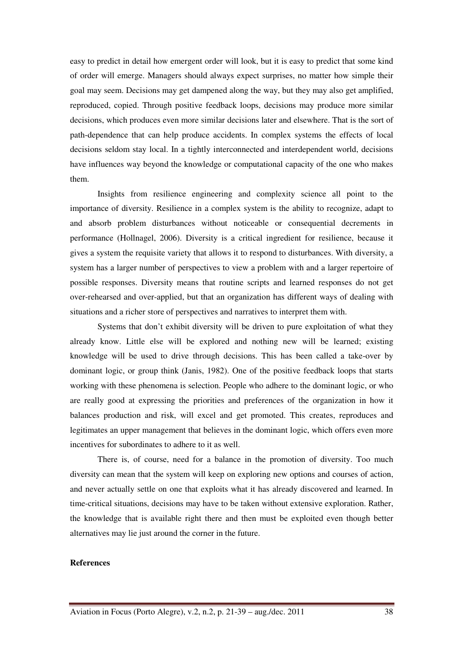easy to predict in detail how emergent order will look, but it is easy to predict that some kind of order will emerge. Managers should always expect surprises, no matter how simple their goal may seem. Decisions may get dampened along the way, but they may also get amplified, reproduced, copied. Through positive feedback loops, decisions may produce more similar decisions, which produces even more similar decisions later and elsewhere. That is the sort of path-dependence that can help produce accidents. In complex systems the effects of local decisions seldom stay local. In a tightly interconnected and interdependent world, decisions have influences way beyond the knowledge or computational capacity of the one who makes them.

Insights from resilience engineering and complexity science all point to the importance of diversity. Resilience in a complex system is the ability to recognize, adapt to and absorb problem disturbances without noticeable or consequential decrements in performance (Hollnagel, 2006). Diversity is a critical ingredient for resilience, because it gives a system the requisite variety that allows it to respond to disturbances. With diversity, a system has a larger number of perspectives to view a problem with and a larger repertoire of possible responses. Diversity means that routine scripts and learned responses do not get over-rehearsed and over-applied, but that an organization has different ways of dealing with situations and a richer store of perspectives and narratives to interpret them with.

Systems that don't exhibit diversity will be driven to pure exploitation of what they already know. Little else will be explored and nothing new will be learned; existing knowledge will be used to drive through decisions. This has been called a take-over by dominant logic, or group think (Janis, 1982). One of the positive feedback loops that starts working with these phenomena is selection. People who adhere to the dominant logic, or who are really good at expressing the priorities and preferences of the organization in how it balances production and risk, will excel and get promoted. This creates, reproduces and legitimates an upper management that believes in the dominant logic, which offers even more incentives for subordinates to adhere to it as well.

There is, of course, need for a balance in the promotion of diversity. Too much diversity can mean that the system will keep on exploring new options and courses of action, and never actually settle on one that exploits what it has already discovered and learned. In time-critical situations, decisions may have to be taken without extensive exploration. Rather, the knowledge that is available right there and then must be exploited even though better alternatives may lie just around the corner in the future.

#### **References**